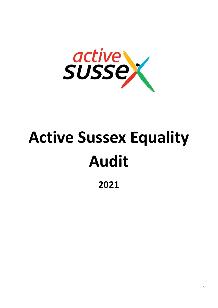

# **Active Sussex Equality Audit**

**2021**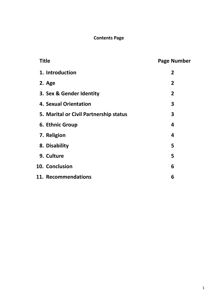# **Contents Page**

| <b>Title</b> |                                        | <b>Page Number</b> |
|--------------|----------------------------------------|--------------------|
|              | 1. Introduction                        | $\overline{2}$     |
|              | 2. Age                                 | $\overline{2}$     |
|              | 3. Sex & Gender Identity               | $\overline{2}$     |
|              | 4. Sexual Orientation                  | 3                  |
|              | 5. Marital or Civil Partnership status | 3                  |
|              | 6. Ethnic Group                        | 4                  |
|              | 7. Religion                            | 4                  |
|              | 8. Disability                          | 5                  |
|              | 9. Culture                             | 5                  |
|              | 10. Conclusion                         | 6                  |
|              | 11. Recommendations                    | 6                  |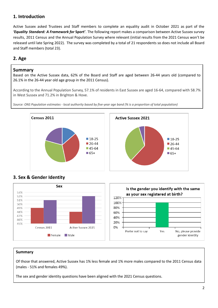# **1. Introduction**

Active Sussex asked Trustees and Staff members to complete an equality audit in October 2021 as part of the *'Equality Standard: A Framework for* **Sport'**. The following report makes a comparison between Active Sussex survey results, 2011 Census and the Annual Population Survey where relevant (initial results from the 2021 Census won't be released until late Spring 2022). The survey was completed by a total of 21 respondents so does not include all Board and Staff members (total 23).

# **2. Age**

### **Summary**

Based on the Active Sussex data, 62% of the Board and Staff are aged between 26-44 years old (compared to 26.1% in the 26-44 year old age group in the 2011 Census).

According to the Annual Population Survey, 57.1% of residents in East Sussex are aged 16-64, compared with 58.7% in West Sussex and 71.2% in Brighton & Hove.

Source: ONS Population estimates - local authority based by five-year age band (% is a proportion of total population)



# **3. Sex & Gender Identity**



### Summary

Of those that answered, Active Sussex has 1% less female and 1% more males compared to the 2011 Census data (males - 51% and females 49%).

The sex and gender identity questions have been aligned with the 2021 Census questions.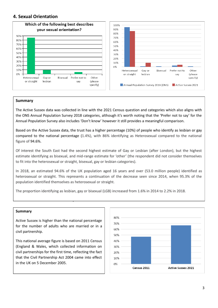### **4. Sexual Orientation**



### Summary

The Active Sussex data was collected in line with the 2021 Census question and categories which also aligns with the ONS Annual Population Survey 2018 categories, although it's worth noting that the 'Prefer not to say' for the Annual Population Survey also includes 'Don't know' however it still provides a meaningful comparison.

Based on the Active Sussex data, the trust has a higher percentage (10%) of people who identify as lesbian or gay compared to the national percentage (1.4%), with 86% identifying as Heterosexual compared to the national figure of 94.6%.

Of interest the South East had the second highest estimate of Gay or Lesbian (after London), but the highest estimate identifying as bisexual, and mid-range estimate for 'other' (the respondent did not consider themselves to fit into the heterosexual or straight, bisexual, gay or lesbian categories).

In 2018, an estimated 94.6% of the UK population aged 16 years and over (53.0 million people) identified as heterosexual or straight. This represents a continuation of the decrease seen since 2014, when 95.3% of the population identified themselves as heterosexual or straight.

The proportion identifying as lesbian, gay or bisexual (LGB) increased from 1.6% in 2014 to 2.2% in 2018.

### Summary

Active Sussex is higher than the national percentage for the number of adults who are married or in a civil partnership.

**5. Marital or Civil Partnership status**

This national average figure is based on 2011 Census (England & Wales, which collected information on civil partnerships for the first time, reflecting the fact that the Civil Partnership Act 2004 came into effect in the UK on 5 December 2005.

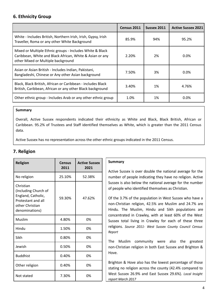# **6. Ethnicity Group**

|                                                                                                                                                            | Census 2011 | <b>Sussex 2011</b> | <b>Active Sussex 2021</b> |
|------------------------------------------------------------------------------------------------------------------------------------------------------------|-------------|--------------------|---------------------------|
| White - Includes British, Northern Irish, Irish, Gypsy, Irish<br>Traveller, Roma or any other White Background                                             | 85.9%       | 94%                | 95.2%                     |
| Mixed or Multiple Ethnic groups - Includes White & Black<br>Caribbean, White and Black African, White & Asian or any<br>other Mixed or Multiple background | 2.20%       | 2%                 | 0.0%                      |
| Asian or Asian British - Includes Indian, Pakistani,<br>Bangladeshi, Chinese or Any other Asian background                                                 | 7.50%       | 3%                 | $0.0\%$                   |
| Black, Black British, African or Caribbean - includes Black<br>British, Caribbean, African or any other Black background                                   | 3.40%       | 1%                 | 4.76%                     |
| Other ethnic group - Includes Arab or any other ethnic group                                                                                               | 1.0%        | 1%                 | 0.0%                      |

### Summary

Overall, Active Sussex respondents indicated their ethnicity as White and Black, Black British, African or Caribbean. 95.2% of Trustees and Staff identified themselves as White, which is greater than the 2011 Census data.

Active Sussex has no representation across the other ethnic groups indicated in the 2011 Census.

# **7. Religion**

| <b>Religion</b>                                                                                                    | <b>Census</b><br>2011 | <b>Active Sussex</b><br>2021 |
|--------------------------------------------------------------------------------------------------------------------|-----------------------|------------------------------|
| No religion                                                                                                        | 25.10%                | 52.38%                       |
| Christian<br>(Including Church of<br>England, Catholic,<br>Protestant and all<br>other Christian<br>denominations) | 59.30%                | 47.62%                       |
| Muslim                                                                                                             | 4.80%                 | 0%                           |
| Hindu                                                                                                              | 1.50%                 | 0%                           |
| Sikh                                                                                                               | $0.80\%$              | 0%                           |
| Jewish                                                                                                             | 0.50%                 | 0%                           |
| <b>Buddhist</b>                                                                                                    | 0.40%                 | 0%                           |
| Other religion                                                                                                     | 0.40%                 | 0%                           |
| Not stated                                                                                                         | 7.30%                 | 0%                           |

### Summary

Active Sussex is over double the national average for the number of people indicating they have no religion. Active Sussex is also below the national average for the number of people who identified themselves as Christian.

Of the 3.7% of the population in West Sussex who have a non-Christian religion, 42.5% are Muslim and 24.7% are Hindu. The Muslim, Hindu and Sikh populations are concentrated in Crawley, with at least 60% of the West Sussex total living in Crawley for each of these three religions. Source 2011- West Sussex County Council Census Report

The Muslim community were also the greatest non-Christian religion in both East Sussex and Brighton & Hove.

Brighton & Hove also has the lowest percentage of those stating no religion across the county (42.4% compared to West Sussex 26.9% and East Sussex 29.6%). Local Insight report March 2017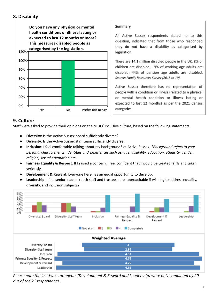### **8. Disability**



### **9. Culture**

Staff were asked to provide their opinions on the trusts' inclusive culture, based on the following statements:

- **Diversity:** Is the Active Sussex board sufficiently diverse?
- **Diversity:** Is the Active Sussex staff team sufficiently diverse?
- **Inclusion:** I feel comfortable talking about my background\* at Active Sussex. *\*Background refers to your personal characteristics, identities and experiences such as: age, disability, education, ethnicity, gender, religion, sexual orientation etc.*
- **Fairness Equality & Respect:** If I raised a concern, I feel confident that I would be treated fairly and taken seriously.
- **Development & Reward:** Everyone here has an equal opportunity to develop.
- **Leadership:** I feel senior leaders (both staff and trustees) are approachable if wishing to address equality, diversity, and inclusion subjects?



*Please note the last two statements (Development & Reward and Leadership) were only completed by 20 out of the 21 respondents.*